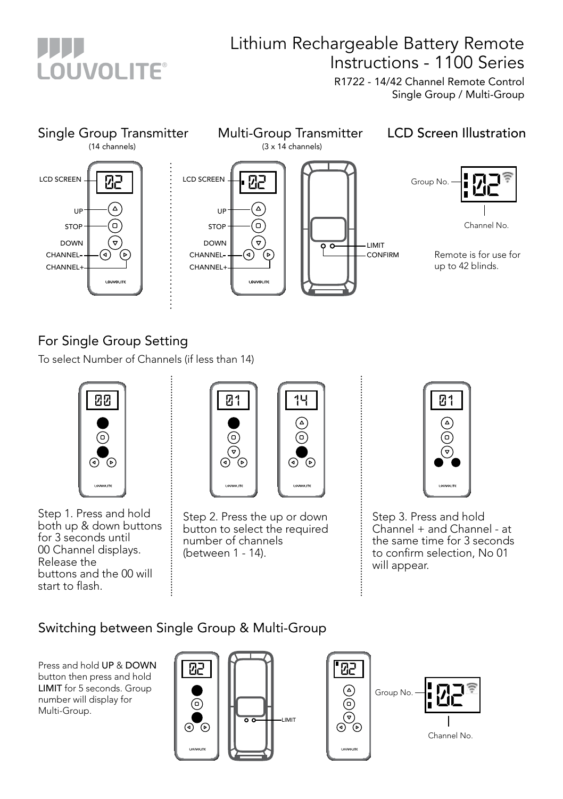

## Lithium Rechargeable Battery Remote Instructions - 1100 Series

R1722 - 14/42 Channel Remote Control Single Group / Multi-Group



## For Single Group Setting

To select Number of Channels (if less than 14)



Step 1. Press and hold both up & down buttons for 3 seconds until 00 Channel displays. Release the buttons and the 00 will start to flash.



Step 2. Press the up or down button to select the required number of channels (between 1 - 14).



Step 3. Press and hold Channel + and Channel - at the same time for 3 seconds to confirm selection, No 01 will appear.

## Switching between Single Group & Multi-Group

Press and hold UP & DOWN button then press and hold LIMIT for 5 seconds. Group number will display for Multi-Group.